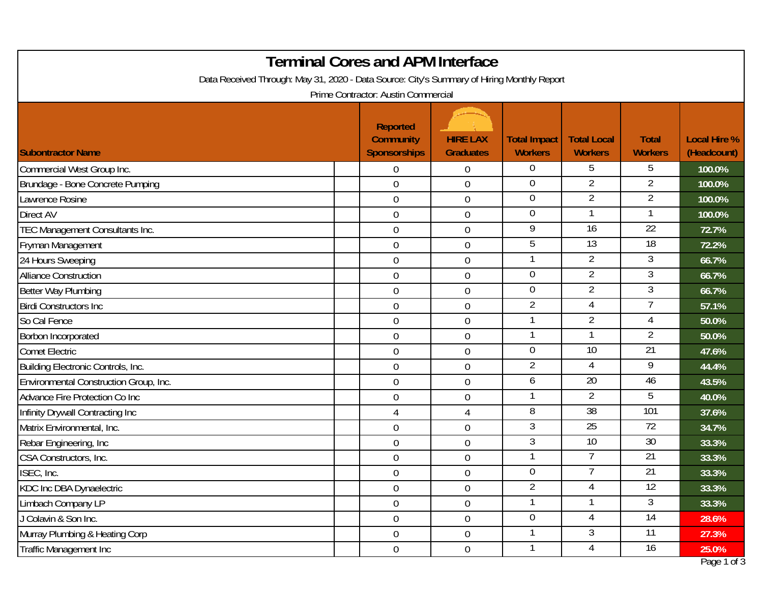| <b>Terminal Cores and APM Interface</b><br>Data Received Through: May 31, 2020 - Data Source: City's Summary of Hiring Monthly Report |  |                                                                                                   |                                     |                                       |                                      |                                |                                    |  |
|---------------------------------------------------------------------------------------------------------------------------------------|--|---------------------------------------------------------------------------------------------------|-------------------------------------|---------------------------------------|--------------------------------------|--------------------------------|------------------------------------|--|
| <b>Subontractor Name</b>                                                                                                              |  | Prime Contractor: Austin Commercial<br><b>Reported</b><br><b>Community</b><br><b>Sponsorships</b> | <b>HIRE LAX</b><br><b>Graduates</b> | <b>Total Impact</b><br><b>Workers</b> | <b>Total Local</b><br><b>Workers</b> | <b>Total</b><br><b>Workers</b> | <b>Local Hire %</b><br>(Headcount) |  |
| Commercial West Group Inc.                                                                                                            |  | $\overline{0}$                                                                                    | 0                                   | $\overline{0}$                        | 5                                    | 5                              | 100.0%                             |  |
| Brundage - Bone Concrete Pumping                                                                                                      |  | $\overline{0}$                                                                                    | $\mathbf 0$                         | $\overline{0}$                        | 2                                    | 2                              | 100.0%                             |  |
| Lawrence Rosine                                                                                                                       |  | $\overline{0}$                                                                                    | $\boldsymbol{0}$                    | $\mathbf 0$                           | $\overline{2}$                       | 2                              | 100.0%                             |  |
| <b>Direct AV</b>                                                                                                                      |  | $\overline{0}$                                                                                    | 0                                   | $\mathbf 0$                           |                                      |                                | 100.0%                             |  |
| TEC Management Consultants Inc.                                                                                                       |  | $\overline{0}$                                                                                    | $\mathbf 0$                         | 9                                     | 16                                   | $\overline{22}$                | 72.7%                              |  |
| Fryman Management                                                                                                                     |  | $\overline{0}$                                                                                    | $\boldsymbol{0}$                    | 5                                     | $\overline{13}$                      | $\overline{18}$                | 72.2%                              |  |
| 24 Hours Sweeping                                                                                                                     |  | $\overline{0}$                                                                                    | $\mathbf 0$                         | $\mathbf{1}$                          | $\overline{2}$                       | 3                              | 66.7%                              |  |
| <b>Alliance Construction</b>                                                                                                          |  | $\overline{0}$                                                                                    | $\boldsymbol{0}$                    | $\mathbf 0$                           | $\overline{2}$                       | 3                              | 66.7%                              |  |
| Better Way Plumbing                                                                                                                   |  | $\overline{0}$                                                                                    | $\boldsymbol{0}$                    | $\overline{0}$                        | $\overline{2}$                       | $\mathfrak{Z}$                 | 66.7%                              |  |
| <b>Birdi Constructors Inc.</b>                                                                                                        |  | $\overline{0}$                                                                                    | $\mathbf 0$                         | $\overline{2}$                        | $\overline{4}$                       | 7                              | 57.1%                              |  |
| So Cal Fence                                                                                                                          |  | $\boldsymbol{0}$                                                                                  | $\boldsymbol{0}$                    | -1                                    | $\overline{2}$                       |                                | 50.0%                              |  |
| Borbon Incorporated                                                                                                                   |  | $\overline{0}$                                                                                    | $\boldsymbol{0}$                    | $\mathbf{1}$                          |                                      | $\overline{2}$                 | 50.0%                              |  |
| <b>Comet Electric</b>                                                                                                                 |  | $\overline{0}$                                                                                    | $\mathbf 0$                         | $\overline{0}$                        | 10                                   | $\overline{21}$                | 47.6%                              |  |
| Building Electronic Controls, Inc.                                                                                                    |  | $\overline{0}$                                                                                    | 0                                   | $\overline{2}$                        | 4                                    | 9                              | 44.4%                              |  |
| Environmental Construction Group, Inc.                                                                                                |  | $\mathbf 0$                                                                                       | $\boldsymbol{0}$                    | 6                                     | $\overline{20}$                      | 46                             | 43.5%                              |  |
| Advance Fire Protection Co Inc                                                                                                        |  | $\overline{0}$                                                                                    | $\boldsymbol{0}$                    | -1                                    | 2                                    | 5                              | 40.0%                              |  |
| Infinity Drywall Contracting Inc                                                                                                      |  | 4                                                                                                 | $\overline{4}$                      | 8                                     | $\overline{38}$                      | 101                            | 37.6%                              |  |
| Matrix Environmental, Inc.                                                                                                            |  | $\mathbf 0$                                                                                       | $\boldsymbol{0}$                    | 3                                     | 25                                   | 72                             | 34.7%                              |  |
| Rebar Engineering, Inc                                                                                                                |  | $\boldsymbol{0}$                                                                                  | $\boldsymbol{0}$                    | 3                                     | 10                                   | 30                             | 33.3%                              |  |
| CSA Constructors, Inc.                                                                                                                |  | $\overline{0}$                                                                                    | 0                                   | $\mathbf{1}$                          | 7                                    | $\overline{21}$                | 33.3%                              |  |
| ISEC, Inc.                                                                                                                            |  | $\mathbf 0$                                                                                       | $\mathbf 0$                         | $\overline{0}$                        | 7                                    | 21                             | 33.3%                              |  |
| KDC Inc DBA Dynaelectric                                                                                                              |  | $\overline{0}$                                                                                    | $\boldsymbol{0}$                    | $\overline{2}$                        | 4                                    | $\overline{12}$                | 33.3%                              |  |
| Limbach Company LP                                                                                                                    |  | $\overline{0}$                                                                                    | $\boldsymbol{0}$                    | $\mathbf{1}$                          |                                      | $\mathfrak{Z}$                 | 33.3%                              |  |
| J Colavin & Son Inc.                                                                                                                  |  | $\overline{0}$                                                                                    | $\boldsymbol{0}$                    | $\overline{0}$                        | 4                                    | 14                             | 28.6%                              |  |
| Murray Plumbing & Heating Corp                                                                                                        |  | $\overline{0}$                                                                                    | $\boldsymbol{0}$                    | -1                                    | 3                                    | $\overline{11}$                | 27.3%                              |  |
| Traffic Management Inc                                                                                                                |  | $\overline{0}$                                                                                    | $\boldsymbol{0}$                    | $\mathbf{1}$                          | 4                                    | 16                             | 25.0%                              |  |
|                                                                                                                                       |  |                                                                                                   |                                     |                                       |                                      |                                | Page 1 of 3                        |  |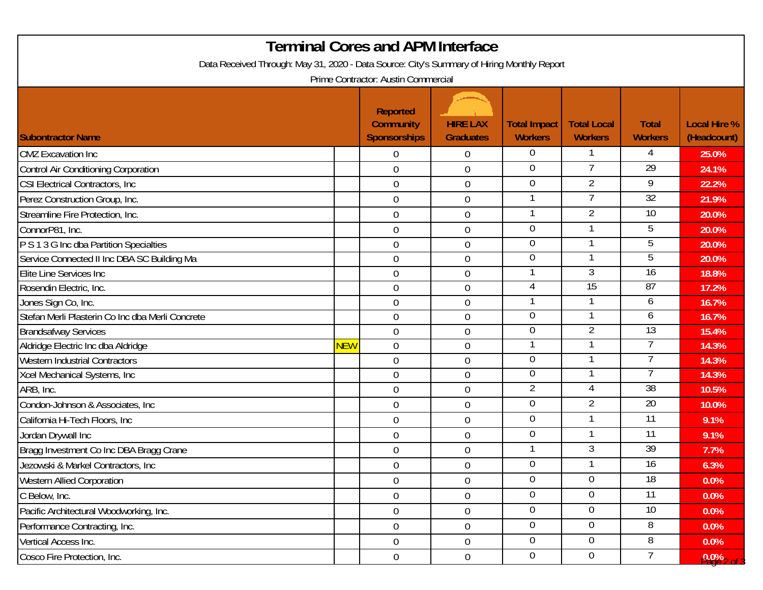| <b>Terminal Cores and APM Interface</b>                                                    |            |                                                            |                                     |                                       |                                      |                                |                                    |  |  |
|--------------------------------------------------------------------------------------------|------------|------------------------------------------------------------|-------------------------------------|---------------------------------------|--------------------------------------|--------------------------------|------------------------------------|--|--|
| Data Received Through: May 31, 2020 - Data Source: City's Summary of Hiring Monthly Report |            |                                                            |                                     |                                       |                                      |                                |                                    |  |  |
| Prime Contractor: Austin Commercial                                                        |            |                                                            |                                     |                                       |                                      |                                |                                    |  |  |
| <b>Subontractor Name</b>                                                                   |            | <b>Reported</b><br><b>Community</b><br><b>Sponsorships</b> | <b>HIRE LAX</b><br><b>Graduates</b> | <b>Total Impact</b><br><b>Workers</b> | <b>Total Local</b><br><b>Workers</b> | <b>Total</b><br><b>Workers</b> | <b>Local Hire %</b><br>(Headcount) |  |  |
| <b>CMZ</b> Excavation Inc                                                                  |            | $\overline{0}$                                             | $\boldsymbol{0}$                    | $\overline{0}$                        |                                      | 4                              | 25.0%                              |  |  |
| Control Air Conditioning Corporation                                                       |            | $\mathbf 0$                                                | $\boldsymbol{0}$                    | $\Omega$                              |                                      | $\overline{29}$                | 24.1%                              |  |  |
| <b>CSI Electrical Contractors, Inc.</b>                                                    |            | $\mathbf 0$                                                | $\overline{0}$                      | $\overline{0}$                        | $\overline{2}$                       | 9                              | 22.2%                              |  |  |
| Perez Construction Group, Inc.                                                             |            | $\overline{0}$                                             | $\mathbf 0$                         |                                       | 7                                    | $\overline{32}$                | 21.9%                              |  |  |
| Streamline Fire Protection, Inc.                                                           |            | $\overline{0}$                                             | $\mathbf 0$                         |                                       | $\overline{2}$                       | 10                             | 20.0%                              |  |  |
| ConnorP81, Inc.                                                                            |            | $\mathbf 0$                                                | $\boldsymbol{0}$                    | $\overline{0}$                        |                                      | 5                              | 20.0%                              |  |  |
| P S 1 3 G Inc dba Partition Specialties                                                    |            | $\overline{0}$                                             | $\boldsymbol{0}$                    | $\overline{0}$                        |                                      | 5                              | 20.0%                              |  |  |
| Service Connected II Inc DBA SC Building Ma                                                |            | $\mathbf 0$                                                | $\boldsymbol{0}$                    | $\Omega$                              |                                      | 5                              | 20.0%                              |  |  |
| Elite Line Services Inc                                                                    |            | $\mathbf 0$                                                | $\boldsymbol{0}$                    |                                       | 3                                    | $\overline{16}$                | 18.8%                              |  |  |
| Rosendin Electric, Inc.                                                                    |            | $\mathbf 0$                                                | $\boldsymbol{0}$                    | 4                                     | $\overline{15}$                      | 87                             | 17.2%                              |  |  |
| Jones Sign Co, Inc.                                                                        |            | $\overline{0}$                                             | $\overline{0}$                      |                                       |                                      | 6                              | 16.7%                              |  |  |
| Stefan Merli Plasterin Co Inc dba Merli Concrete                                           |            | $\mathbf 0$                                                | $\overline{0}$                      | $\overline{0}$                        |                                      | 6                              | 16.7%                              |  |  |
| <b>Brandsafway Services</b>                                                                |            | $\overline{0}$                                             | $\overline{0}$                      | $\overline{0}$                        | 2                                    | 13                             | 15.4%                              |  |  |
| Aldridge Electric Inc dba Aldridge                                                         | <b>NEW</b> | $\mathbf 0$                                                | $\overline{0}$                      |                                       |                                      |                                | 14.3%                              |  |  |
| <b>Western Industrial Contractors</b>                                                      |            | $\overline{0}$                                             | $\boldsymbol{0}$                    | $\overline{0}$                        |                                      |                                | 14.3%                              |  |  |
| Xcel Mechanical Systems, Inc                                                               |            | $\mathbf 0$                                                | $\overline{0}$                      | $\overline{0}$                        |                                      |                                | 14.3%                              |  |  |
| ARB, Inc.                                                                                  |            | $\overline{0}$                                             | $\overline{0}$                      | $\overline{2}$                        | 4                                    | 38                             | 10.5%                              |  |  |
| Condon-Johnson & Associates, Inc.                                                          |            | $\overline{0}$                                             | $\boldsymbol{0}$                    | $\overline{0}$                        | $\overline{2}$                       | $\overline{20}$                | 10.0%                              |  |  |
| California Hi-Tech Floors, Inc.                                                            |            | $\overline{0}$                                             | $\boldsymbol{0}$                    | $\overline{0}$                        |                                      | 11                             | 9.1%                               |  |  |
| Jordan Drywall Inc                                                                         |            | 0                                                          | $\boldsymbol{0}$                    | $\overline{0}$                        |                                      | 11                             | 9.1%                               |  |  |
| Bragg Investment Co Inc DBA Bragg Crane                                                    |            | 0                                                          | $\boldsymbol{0}$                    |                                       | 3                                    | $\overline{39}$                | 7.7%                               |  |  |
| Jezowski & Markel Contractors, Inc                                                         |            | $\boldsymbol{0}$                                           | $\pmb{0}$                           | $\overline{0}$                        |                                      | 16                             | 6.3%                               |  |  |
| <b>Western Allied Corporation</b>                                                          |            | $\Omega$                                                   | $\overline{0}$                      | $\overline{0}$                        | $\overline{0}$                       | $\overline{18}$                | 0.0%                               |  |  |
| C Below, Inc.                                                                              |            | $\overline{0}$                                             | $\boldsymbol{0}$                    | $\overline{0}$                        | $\overline{0}$                       | $\overline{11}$                | 0.0%                               |  |  |
| Pacific Architectural Woodworking, Inc.                                                    |            | $\overline{0}$                                             | $\overline{0}$                      | $\Omega$                              | 0                                    | 10 <sup>°</sup>                | 0.0%                               |  |  |
| Performance Contracting, Inc.                                                              |            | $\overline{0}$                                             | $\boldsymbol{0}$                    | $\overline{0}$                        | $\overline{0}$                       | 8                              | 0.0%                               |  |  |
| Vertical Access Inc.                                                                       |            | $\overline{0}$                                             | $\boldsymbol{0}$                    | $\overline{0}$                        | $\overline{0}$                       | 8                              | 0.0%                               |  |  |
| Cosco Fire Protection, Inc.                                                                |            | $\overline{0}$                                             | $\boldsymbol{0}$                    | $\overline{0}$                        | $\overline{0}$                       |                                | $0.022$ of 1                       |  |  |